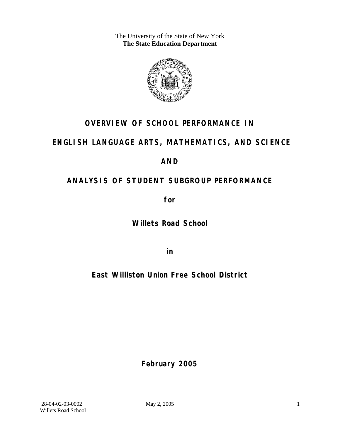The University of the State of New York **The State Education Department** 



# **OVERVIEW OF SCHOOL PERFORMANCE IN**

# **ENGLISH LANGUAGE ARTS, MATHEMATICS, AND SCIENCE**

# **AND**

# **ANALYSIS OF STUDENT SUBGROUP PERFORMANCE**

**for** 

**Willets Road School**

**in** 

**East Williston Union Free School District**

**February 2005**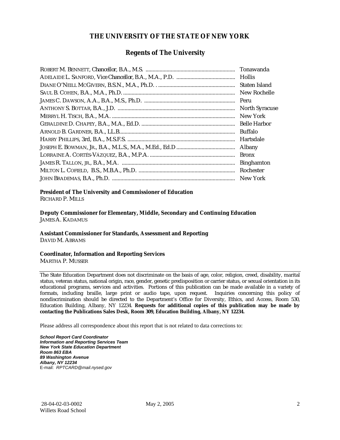## **THE UNIVERSITY OF THE STATE OF NEW YORK**

## **Regents of The University**

| Tonawanda             |
|-----------------------|
|                       |
| Staten Island         |
| New Rochelle          |
| Peru                  |
| <b>North Syracuse</b> |
| New York              |
| <b>Belle Harbor</b>   |
| <b>Buffalo</b>        |
| Hartsdale             |
| Albany                |
| <b>Bronx</b>          |
| <b>Binghamton</b>     |
| Rochester             |
|                       |

## **President of The University and Commissioner of Education**

RICHARD P. MILLS

**Deputy Commissioner for Elementary, Middle, Secondary and Continuing Education**  JAMES A. KADAMUS

#### **Assistant Commissioner for Standards, Assessment and Reporting**  DAVID M. ABRAMS

**Coordinator, Information and Reporting Services** 

MARTHA P. MUSSER

The State Education Department does not discriminate on the basis of age, color, religion, creed, disability, marital status, veteran status, national origin, race, gender, genetic predisposition or carrier status, or sexual orientation in its educational programs, services and activities. Portions of this publication can be made available in a variety of formats, including braille, large print or audio tape, upon request. Inquiries concerning this policy of nondiscrimination should be directed to the Department's Office for Diversity, Ethics, and Access, Room 530, Education Building, Albany, NY 12234. **Requests for additional copies of this publication may be made by contacting the Publications Sales Desk, Room 309, Education Building, Albany, NY 12234.** 

Please address all correspondence about this report that is not related to data corrections to:

*School Report Card Coordinator Information and Reporting Services Team New York State Education Department Room 863 EBA 89 Washington Avenue Albany, NY 12234*  E-mail: *RPTCARD@mail.nysed.gov*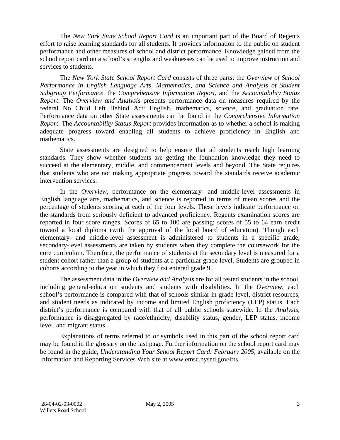The *New York State School Report Card* is an important part of the Board of Regents effort to raise learning standards for all students. It provides information to the public on student performance and other measures of school and district performance. Knowledge gained from the school report card on a school's strengths and weaknesses can be used to improve instruction and services to students.

The *New York State School Report Card* consists of three parts: the *Overview of School Performance in English Language Arts, Mathematics, and Science and Analysis of Student Subgroup Performance,* the *Comprehensive Information Report,* and the *Accountability Status Report*. The *Overview and Analysis* presents performance data on measures required by the federal No Child Left Behind Act: English, mathematics, science, and graduation rate. Performance data on other State assessments can be found in the *Comprehensive Information Report*. The *Accountability Status Report* provides information as to whether a school is making adequate progress toward enabling all students to achieve proficiency in English and mathematics.

State assessments are designed to help ensure that all students reach high learning standards. They show whether students are getting the foundation knowledge they need to succeed at the elementary, middle, and commencement levels and beyond. The State requires that students who are not making appropriate progress toward the standards receive academic intervention services.

In the *Overview*, performance on the elementary- and middle-level assessments in English language arts, mathematics, and science is reported in terms of mean scores and the percentage of students scoring at each of the four levels. These levels indicate performance on the standards from seriously deficient to advanced proficiency. Regents examination scores are reported in four score ranges. Scores of 65 to 100 are passing; scores of 55 to 64 earn credit toward a local diploma (with the approval of the local board of education). Though each elementary- and middle-level assessment is administered to students in a specific grade, secondary-level assessments are taken by students when they complete the coursework for the core curriculum. Therefore, the performance of students at the secondary level is measured for a student cohort rather than a group of students at a particular grade level. Students are grouped in cohorts according to the year in which they first entered grade 9.

The assessment data in the *Overview and Analysis* are for all tested students in the school, including general-education students and students with disabilities. In the *Overview*, each school's performance is compared with that of schools similar in grade level, district resources, and student needs as indicated by income and limited English proficiency (LEP) status. Each district's performance is compared with that of all public schools statewide. In the *Analysis*, performance is disaggregated by race/ethnicity, disability status, gender, LEP status, income level, and migrant status.

Explanations of terms referred to or symbols used in this part of the school report card may be found in the glossary on the last page. Further information on the school report card may be found in the guide, *Understanding Your School Report Card: February 2005*, available on the Information and Reporting Services Web site at www.emsc.nysed.gov/irts.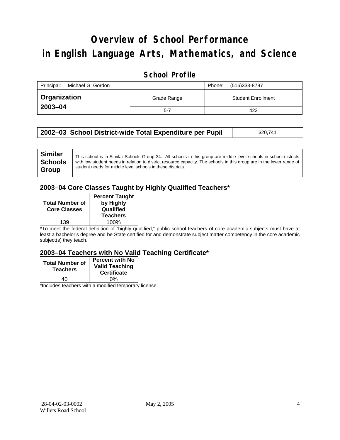# **Overview of School Performance in English Language Arts, Mathematics, and Science**

## **School Profile**

| Principal:<br>Michael G. Gordon |                                          | (516)333-8797<br>Phone: |
|---------------------------------|------------------------------------------|-------------------------|
| ∣ Organization                  | <b>Student Enrollment</b><br>Grade Range |                         |
| 2003-04                         | $5 - 7$                                  | 423                     |

| 2002–03 School District-wide Total Expenditure per Pupil | \$20,741 |
|----------------------------------------------------------|----------|
|----------------------------------------------------------|----------|

## **2003–04 Core Classes Taught by Highly Qualified Teachers\***

| <b>Total Number of</b><br><b>Core Classes</b> | <b>Percent Taught</b><br>by Highly<br>Qualified<br><b>Teachers</b> |
|-----------------------------------------------|--------------------------------------------------------------------|
| 139                                           | 100%                                                               |

\*To meet the federal definition of "highly qualified," public school teachers of core academic subjects must have at least a bachelor's degree and be State certified for and demonstrate subject matter competency in the core academic subject(s) they teach.

### **2003–04 Teachers with No Valid Teaching Certificate\***

| <b>Total Number of</b><br><b>Teachers</b> | <b>Percent with No</b><br><b>Valid Teaching</b><br><b>Certificate</b> |
|-------------------------------------------|-----------------------------------------------------------------------|
| 4Λ                                        | 0%                                                                    |
| $\mathbf{A}$<br>$\cdots$                  |                                                                       |

\*Includes teachers with a modified temporary license.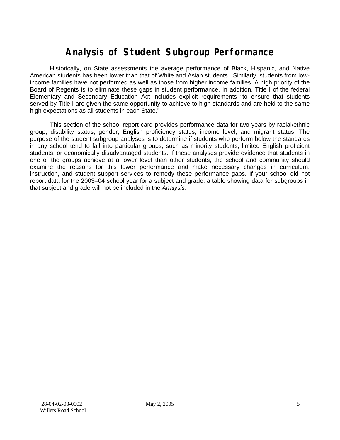# **Analysis of Student Subgroup Performance**

Historically, on State assessments the average performance of Black, Hispanic, and Native American students has been lower than that of White and Asian students. Similarly, students from lowincome families have not performed as well as those from higher income families. A high priority of the Board of Regents is to eliminate these gaps in student performance. In addition, Title I of the federal Elementary and Secondary Education Act includes explicit requirements "to ensure that students served by Title I are given the same opportunity to achieve to high standards and are held to the same high expectations as all students in each State."

This section of the school report card provides performance data for two years by racial/ethnic group, disability status, gender, English proficiency status, income level, and migrant status. The purpose of the student subgroup analyses is to determine if students who perform below the standards in any school tend to fall into particular groups, such as minority students, limited English proficient students, or economically disadvantaged students. If these analyses provide evidence that students in one of the groups achieve at a lower level than other students, the school and community should examine the reasons for this lower performance and make necessary changes in curriculum, instruction, and student support services to remedy these performance gaps. If your school did not report data for the 2003–04 school year for a subject and grade, a table showing data for subgroups in that subject and grade will not be included in the *Analysis*.